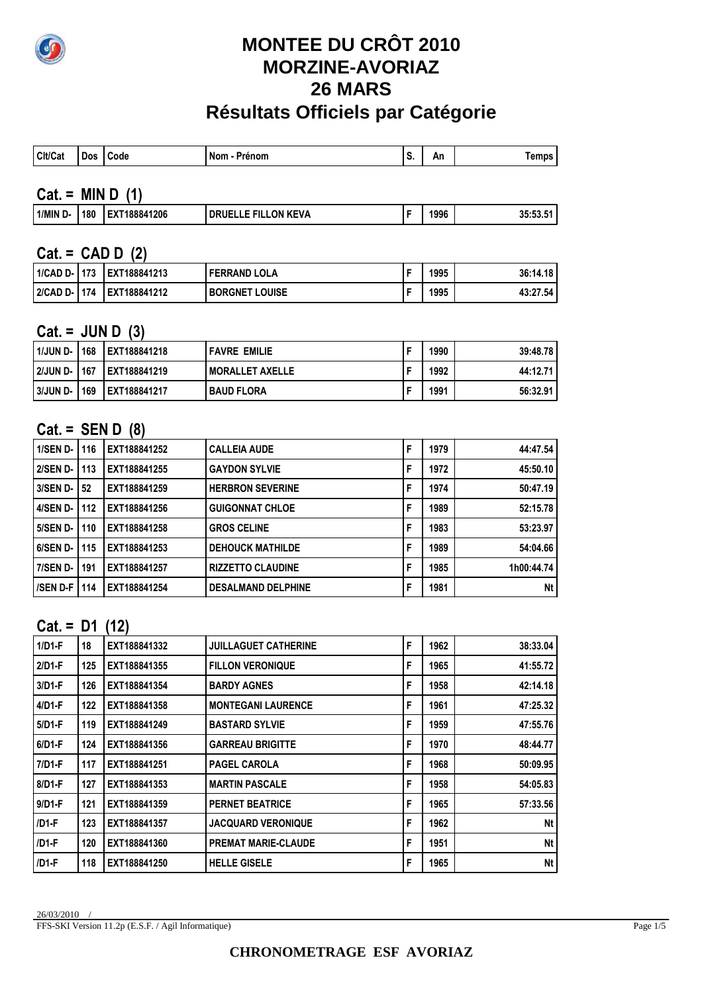

# **MONTEE DU CRÔT 2010 MORZINE-AVORIAZ 26 MARS Résultats Officiels par Catégorie**

| Clt/Cat | Dos | <b>Code</b> | . Nom<br>Prénom | An |  |
|---------|-----|-------------|-----------------|----|--|

### **Cat. = MIN D (1)**

| `1/MIN D- | 180 | EXT188841206<br>'Ex | LON KEVA<br>FIL.<br><b>DRUELLE</b> |  | 1996 | 35:53.51 |
|-----------|-----|---------------------|------------------------------------|--|------|----------|
|-----------|-----|---------------------|------------------------------------|--|------|----------|

#### **Cat. = CAD D (2)**

| ' 1/CAD D- I 173 | LEXT188841213 | <b>FERRAND LOLA</b>   | 1995 | 36:14.18 |
|------------------|---------------|-----------------------|------|----------|
| 2/CAD D- 1174    | LEXT188841212 | <b>BORGNET LOUISE</b> | 1995 | 43:27.54 |

#### **Cat. = JUN D (3)**

| 1/JUN D- | 168 | EXT188841218  | <b>FAVRE EMILIE</b> | 1990 | 39:48.78 |
|----------|-----|---------------|---------------------|------|----------|
| 2/JUN D- | 167 | LEXT188841219 | I MORALLET AXELLE   | 1992 | 44:12.71 |
| 3/JUN D- | 169 | EXT188841217  | <b>BAUD FLORA</b>   | 1991 | 56:32.91 |

## **Cat. = SEN D (8)**

| $1/SEN$ D-      | 116 | EXT188841252 | <b>CALLEIA AUDE</b>       | F | 1979 | 44:47.54   |
|-----------------|-----|--------------|---------------------------|---|------|------------|
| <b>2/SEN D-</b> | 113 | EXT188841255 | <b>GAYDON SYLVIE</b>      |   | 1972 | 45:50.10   |
| $3/SEN$ D-      | 52  | EXT188841259 | <b>HERBRON SEVERINE</b>   |   | 1974 | 50:47.19   |
| 4/SEN D-        | 112 | EXT188841256 | <b>GUIGONNAT CHLOE</b>    | F | 1989 | 52:15.78   |
| <b>5/SEN D-</b> | 110 | EXT188841258 | <b>GROS CELINE</b>        | F | 1983 | 53:23.97   |
| 6/SEN D-        | 115 | EXT188841253 | <b>DEHOUCK MATHILDE</b>   | F | 1989 | 54:04.66   |
| <b>7/SEN D-</b> | 191 | EXT188841257 | <b>RIZZETTO CLAUDINE</b>  |   | 1985 | 1h00:44.74 |
| <b>/SEN D-F</b> | 114 | EXT188841254 | <b>DESALMAND DELPHINE</b> | F | 1981 | Nt         |

#### **Cat. = D1 (12)**

| 18  | EXT188841332 | <b>JUILLAGUET CATHERINE</b> | F | 1962 | 38:33.04  |
|-----|--------------|-----------------------------|---|------|-----------|
| 125 | EXT188841355 | <b>FILLON VERONIQUE</b>     | F | 1965 | 41:55.72  |
| 126 | EXT188841354 | <b>BARDY AGNES</b>          | F | 1958 | 42:14.18  |
| 122 | EXT188841358 | <b>MONTEGANI LAURENCE</b>   | F | 1961 | 47:25.32  |
| 119 | EXT188841249 | <b>BASTARD SYLVIE</b>       | F | 1959 | 47:55.76  |
| 124 | EXT188841356 | <b>GARREAU BRIGITTE</b>     | F | 1970 | 48:44.77  |
| 117 | EXT188841251 | <b>PAGEL CAROLA</b>         | F | 1968 | 50:09.95  |
| 127 | EXT188841353 | <b>MARTIN PASCALE</b>       | F | 1958 | 54:05.83  |
| 121 | EXT188841359 | <b>PERNET BEATRICE</b>      | F | 1965 | 57:33.56  |
| 123 | EXT188841357 | <b>JACQUARD VERONIQUE</b>   | F | 1962 | Nt        |
| 120 | EXT188841360 | <b>PREMAT MARIE-CLAUDE</b>  | F | 1951 | <b>Nt</b> |
| 118 | EXT188841250 | <b>HELLE GISELE</b>         | F | 1965 | <b>Nt</b> |
|     |              |                             |   |      |           |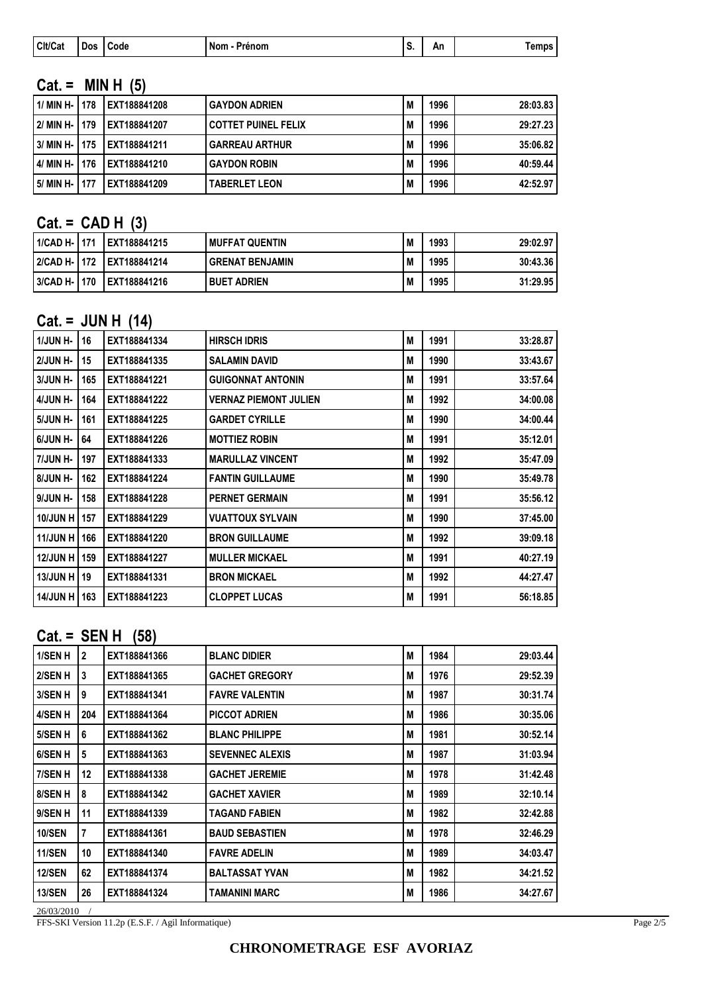|  | Cit/Cat | Dos | Code | Nom<br>- Prénom | . . | An | iemps |
|--|---------|-----|------|-----------------|-----|----|-------|
|--|---------|-----|------|-----------------|-----|----|-------|

# **Cat. = MIN H (5)**

| 1/ MIN H-   178 |     | LEXT188841208 | <b>GAYDON ADRIEN</b>       | M | 1996 | 28:03.83 |
|-----------------|-----|---------------|----------------------------|---|------|----------|
| 2/ MIN H-   179 |     | EXT188841207  | <b>COTTET PUINEL FELIX</b> | M | 1996 | 29:27.23 |
| 3/ MIN H-       | 175 | LEXT188841211 | <b>GARREAU ARTHUR</b>      | M | 1996 | 35:06.82 |
| 4/ MIN H-       | 176 | LEXT188841210 | <b>GAYDON ROBIN</b>        | M | 1996 | 40:59.44 |
| 5/ MIN H-       | 177 | EXT188841209  | <b>TABERLET LEON</b>       | M | 1996 | 42:52.97 |

# **Cat. = CAD H (3)**

| 1/CAD H-   171   | LEXT188841215 | <b>MUFFAT QUENTIN</b>  | M | 1993 | 29:02.97 |
|------------------|---------------|------------------------|---|------|----------|
| l 2/CAD H- I 172 | LEXT188841214 | <b>GRENAT BENJAMIN</b> | M | 1995 | 30:43.36 |
| 3/CAD H-   170   | LEXT188841216 | <b>BUET ADRIEN</b>     | M | 1995 | 31:29.95 |

### **Cat. = JUN H (14)**

| 1/JUN H-        | 16  | EXT188841334 | <b>HIRSCH IDRIS</b>          | M | 1991 | 33:28.87 |
|-----------------|-----|--------------|------------------------------|---|------|----------|
| 2/JUN H-        | 15  | EXT188841335 | <b>SALAMIN DAVID</b>         | M | 1990 | 33:43.67 |
| 3/JUN H-        | 165 | EXT188841221 | <b>GUIGONNAT ANTONIN</b>     | M | 1991 | 33:57.64 |
| 4/JUN H-        | 164 | EXT188841222 | <b>VERNAZ PIEMONT JULIEN</b> | M | 1992 | 34:00.08 |
| 5/JUN H-        | 161 | EXT188841225 | <b>GARDET CYRILLE</b>        | M | 1990 | 34:00.44 |
| 6/JUN H-        | 64  | EXT188841226 | <b>MOTTIEZ ROBIN</b>         | M | 1991 | 35:12.01 |
| 7/JUN H-        | 197 | EXT188841333 | <b>MARULLAZ VINCENT</b>      | M | 1992 | 35:47.09 |
| 8/JUN H-        | 162 | EXT188841224 | <b>FANTIN GUILLAUME</b>      | M | 1990 | 35:49.78 |
| 9/JUN H-        | 158 | EXT188841228 | <b>PERNET GERMAIN</b>        | M | 1991 | 35:56.12 |
| 10/JUN H        | 157 | EXT188841229 | <b>VUATTOUX SYLVAIN</b>      | M | 1990 | 37:45.00 |
| <b>11/JUN H</b> | 166 | EXT188841220 | <b>BRON GUILLAUME</b>        | M | 1992 | 39:09.18 |
| <b>12/JUN H</b> | 159 | EXT188841227 | <b>MULLER MICKAEL</b>        | M | 1991 | 40:27.19 |
| <b>13/JUN H</b> | 19  | EXT188841331 | <b>BRON MICKAEL</b>          | M | 1992 | 44:27.47 |
| <b>14/JUN H</b> | 163 | EXT188841223 | <b>CLOPPET LUCAS</b>         | M | 1991 | 56:18.85 |
|                 |     |              |                              |   |      |          |

## **Cat. = SEN H (58)**

| l 1/SEN H     | $\mathbf{2}$ | EXT188841366 | <b>BLANC DIDIER</b>    | M | 1984 | 29:03.44 |
|---------------|--------------|--------------|------------------------|---|------|----------|
| l 2/SEN H     | 3            | EXT188841365 | <b>GACHET GREGORY</b>  | M | 1976 | 29:52.39 |
| 3/SEN H       | 9            | EXT188841341 | <b>FAVRE VALENTIN</b>  | M | 1987 | 30:31.74 |
| 4/SEN H       | 204          | EXT188841364 | <b>PICCOT ADRIEN</b>   | M | 1986 | 30:35.06 |
| l 5/SEN H     | 6            | EXT188841362 | <b>BLANC PHILIPPE</b>  | M | 1981 | 30:52.14 |
| l 6/SEN H     | 5            | EXT188841363 | <b>SEVENNEC ALEXIS</b> | M | 1987 | 31:03.94 |
| 7/SEN H       | 12           | EXT188841338 | <b>GACHET JEREMIE</b>  | M | 1978 | 31:42.48 |
| l 8/SEN H     | 8            | EXT188841342 | <b>GACHET XAVIER</b>   | M | 1989 | 32:10.14 |
| l 9/SEN H     | 11           | EXT188841339 | <b>TAGAND FABIEN</b>   | M | 1982 | 32:42.88 |
| <b>10/SEN</b> | 7            | EXT188841361 | <b>BAUD SEBASTIEN</b>  | M | 1978 | 32:46.29 |
| 11/SEN        | 10           | EXT188841340 | <b>FAVRE ADELIN</b>    | M | 1989 | 34:03.47 |
| <b>12/SEN</b> | 62           | EXT188841374 | <b>BALTASSAT YVAN</b>  | M | 1982 | 34:21.52 |
| <b>13/SEN</b> | 26           | EXT188841324 | <b>TAMANINI MARC</b>   | M | 1986 | 34:27.67 |
|               |              |              |                        |   |      |          |

26/03/2010 /

FFS-SKI Version 11.2p (E.S.F. / Agil Informatique)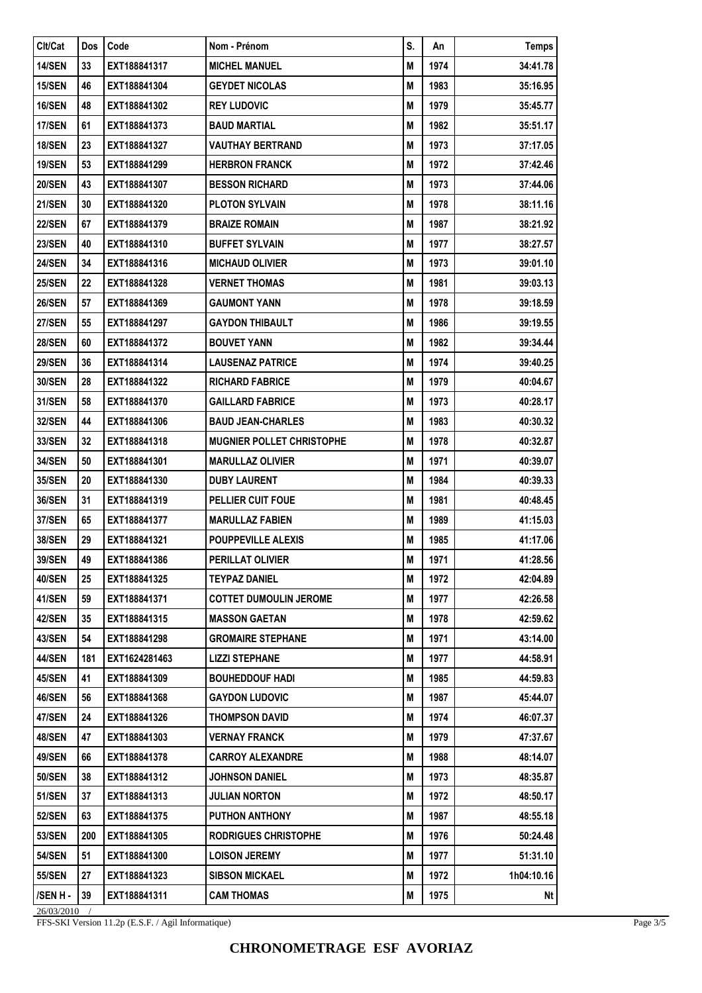| <b>Clt/Cat</b><br>S.<br>Code<br>Nom - Prénom<br><b>Temps</b><br>Dos<br>An<br>14/SEN<br>1974<br>33<br>EXT188841317<br><b>MICHEL MANUEL</b><br>M<br>34:41.78<br><b>15/SEN</b><br>46<br>1983<br>35:16.95<br>EXT188841304<br><b>GEYDET NICOLAS</b><br>M<br><b>16/SEN</b><br><b>REY LUDOVIC</b><br>48<br>EXT188841302<br>М<br>1979<br>35:45.77<br><b>17/SEN</b><br>61<br>EXT188841373<br><b>BAUD MARTIAL</b><br>Μ<br>1982<br>35:51.17<br><b>18/SEN</b><br>23<br>EXT188841327<br><b>VAUTHAY BERTRAND</b><br>Μ<br>1973<br>37:17.05<br><b>19/SEN</b><br>EXT188841299<br><b>HERBRON FRANCK</b><br>1972<br>37:42.46<br>53<br>M<br><b>20/SEN</b><br>43<br>EXT188841307<br><b>BESSON RICHARD</b><br>M<br>1973<br>37:44.06<br><b>PLOTON SYLVAIN</b><br>1978<br><b>21/SEN</b><br>30<br>EXT188841320<br>M<br>38:11.16<br><b>22/SEN</b><br>67<br>EXT188841379<br><b>BRAIZE ROMAIN</b><br>М<br>1987<br>38:21.92<br><b>23/SEN</b><br>40<br>M<br>EXT188841310<br><b>BUFFET SYLVAIN</b><br>1977<br>38:27.57<br><b>24/SEN</b><br>34<br>EXT188841316<br><b>MICHAUD OLIVIER</b><br>Μ<br>1973<br>39:01.10<br><b>25/SEN</b><br>22<br><b>VERNET THOMAS</b><br>M<br>1981<br>39:03.13<br>EXT188841328 |
|---------------------------------------------------------------------------------------------------------------------------------------------------------------------------------------------------------------------------------------------------------------------------------------------------------------------------------------------------------------------------------------------------------------------------------------------------------------------------------------------------------------------------------------------------------------------------------------------------------------------------------------------------------------------------------------------------------------------------------------------------------------------------------------------------------------------------------------------------------------------------------------------------------------------------------------------------------------------------------------------------------------------------------------------------------------------------------------------------------------------------------------------------------------------------|
|                                                                                                                                                                                                                                                                                                                                                                                                                                                                                                                                                                                                                                                                                                                                                                                                                                                                                                                                                                                                                                                                                                                                                                           |
|                                                                                                                                                                                                                                                                                                                                                                                                                                                                                                                                                                                                                                                                                                                                                                                                                                                                                                                                                                                                                                                                                                                                                                           |
|                                                                                                                                                                                                                                                                                                                                                                                                                                                                                                                                                                                                                                                                                                                                                                                                                                                                                                                                                                                                                                                                                                                                                                           |
|                                                                                                                                                                                                                                                                                                                                                                                                                                                                                                                                                                                                                                                                                                                                                                                                                                                                                                                                                                                                                                                                                                                                                                           |
|                                                                                                                                                                                                                                                                                                                                                                                                                                                                                                                                                                                                                                                                                                                                                                                                                                                                                                                                                                                                                                                                                                                                                                           |
|                                                                                                                                                                                                                                                                                                                                                                                                                                                                                                                                                                                                                                                                                                                                                                                                                                                                                                                                                                                                                                                                                                                                                                           |
|                                                                                                                                                                                                                                                                                                                                                                                                                                                                                                                                                                                                                                                                                                                                                                                                                                                                                                                                                                                                                                                                                                                                                                           |
|                                                                                                                                                                                                                                                                                                                                                                                                                                                                                                                                                                                                                                                                                                                                                                                                                                                                                                                                                                                                                                                                                                                                                                           |
|                                                                                                                                                                                                                                                                                                                                                                                                                                                                                                                                                                                                                                                                                                                                                                                                                                                                                                                                                                                                                                                                                                                                                                           |
|                                                                                                                                                                                                                                                                                                                                                                                                                                                                                                                                                                                                                                                                                                                                                                                                                                                                                                                                                                                                                                                                                                                                                                           |
|                                                                                                                                                                                                                                                                                                                                                                                                                                                                                                                                                                                                                                                                                                                                                                                                                                                                                                                                                                                                                                                                                                                                                                           |
|                                                                                                                                                                                                                                                                                                                                                                                                                                                                                                                                                                                                                                                                                                                                                                                                                                                                                                                                                                                                                                                                                                                                                                           |
| <b>26/SEN</b><br>1978<br>57<br>EXT188841369<br><b>GAUMONT YANN</b><br>М<br>39:18.59                                                                                                                                                                                                                                                                                                                                                                                                                                                                                                                                                                                                                                                                                                                                                                                                                                                                                                                                                                                                                                                                                       |
| <b>27/SEN</b><br>55<br>EXT188841297<br><b>GAYDON THIBAULT</b><br>1986<br>39:19.55<br>M                                                                                                                                                                                                                                                                                                                                                                                                                                                                                                                                                                                                                                                                                                                                                                                                                                                                                                                                                                                                                                                                                    |
| <b>28/SEN</b><br>M<br>1982<br>39:34.44<br>60<br>EXT188841372<br><b>BOUVET YANN</b>                                                                                                                                                                                                                                                                                                                                                                                                                                                                                                                                                                                                                                                                                                                                                                                                                                                                                                                                                                                                                                                                                        |
| <b>29/SEN</b><br>36<br>EXT188841314<br><b>LAUSENAZ PATRICE</b><br>1974<br>39:40.25<br>M                                                                                                                                                                                                                                                                                                                                                                                                                                                                                                                                                                                                                                                                                                                                                                                                                                                                                                                                                                                                                                                                                   |
| 30/SEN<br>28<br>EXT188841322<br><b>RICHARD FABRICE</b><br>1979<br>40:04.67<br>M                                                                                                                                                                                                                                                                                                                                                                                                                                                                                                                                                                                                                                                                                                                                                                                                                                                                                                                                                                                                                                                                                           |
| 31/SEN<br>58<br>EXT188841370<br><b>GAILLARD FABRICE</b><br>М<br>1973<br>40:28.17                                                                                                                                                                                                                                                                                                                                                                                                                                                                                                                                                                                                                                                                                                                                                                                                                                                                                                                                                                                                                                                                                          |
| <b>32/SEN</b><br>44<br>EXT188841306<br><b>BAUD JEAN-CHARLES</b><br>M<br>1983<br>40:30.32                                                                                                                                                                                                                                                                                                                                                                                                                                                                                                                                                                                                                                                                                                                                                                                                                                                                                                                                                                                                                                                                                  |
| 33/SEN<br><b>MUGNIER POLLET CHRISTOPHE</b><br>1978<br>40:32.87<br>32<br>EXT188841318<br>M                                                                                                                                                                                                                                                                                                                                                                                                                                                                                                                                                                                                                                                                                                                                                                                                                                                                                                                                                                                                                                                                                 |
| <b>34/SEN</b><br>EXT188841301<br><b>MARULLAZ OLIVIER</b><br>1971<br>40:39.07<br>50<br>M                                                                                                                                                                                                                                                                                                                                                                                                                                                                                                                                                                                                                                                                                                                                                                                                                                                                                                                                                                                                                                                                                   |
| M<br>35/SEN<br>20<br>EXT188841330<br><b>DUBY LAURENT</b><br>1984<br>40:39.33                                                                                                                                                                                                                                                                                                                                                                                                                                                                                                                                                                                                                                                                                                                                                                                                                                                                                                                                                                                                                                                                                              |
| 31<br><b>36/SEN</b><br>EXT188841319<br>PELLIER CUIT FOUE<br>М<br>1981<br>40:48.45                                                                                                                                                                                                                                                                                                                                                                                                                                                                                                                                                                                                                                                                                                                                                                                                                                                                                                                                                                                                                                                                                         |
| 37/SEN<br>EXT188841377<br><b>MARULLAZ FABIEN</b><br>M<br>1989<br>41:15.03<br>65                                                                                                                                                                                                                                                                                                                                                                                                                                                                                                                                                                                                                                                                                                                                                                                                                                                                                                                                                                                                                                                                                           |
| <b>38/SEN</b><br>29<br><b>POUPPEVILLE ALEXIS</b><br>M<br>1985<br>EXT188841321<br>41:17.06                                                                                                                                                                                                                                                                                                                                                                                                                                                                                                                                                                                                                                                                                                                                                                                                                                                                                                                                                                                                                                                                                 |
| 49<br>39/SEN<br>EXT188841386<br>PERILLAT OLIVIER<br>М<br>1971<br>41:28.56                                                                                                                                                                                                                                                                                                                                                                                                                                                                                                                                                                                                                                                                                                                                                                                                                                                                                                                                                                                                                                                                                                 |
| 40/SEN<br>42:04.89<br>25<br>EXT188841325<br><b>TEYPAZ DANIEL</b><br>М<br>1972                                                                                                                                                                                                                                                                                                                                                                                                                                                                                                                                                                                                                                                                                                                                                                                                                                                                                                                                                                                                                                                                                             |
| 41/SEN<br><b>COTTET DUMOULIN JEROME</b><br>59<br>EXT188841371<br>M<br>1977<br>42:26.58                                                                                                                                                                                                                                                                                                                                                                                                                                                                                                                                                                                                                                                                                                                                                                                                                                                                                                                                                                                                                                                                                    |
| <b>42/SEN</b><br><b>MASSON GAETAN</b><br>M<br>1978<br>42:59.62<br>35<br>EXT188841315                                                                                                                                                                                                                                                                                                                                                                                                                                                                                                                                                                                                                                                                                                                                                                                                                                                                                                                                                                                                                                                                                      |
| 43/SEN<br>EXT188841298<br><b>GROMAIRE STEPHANE</b><br>1971<br>43:14.00<br>54<br>М                                                                                                                                                                                                                                                                                                                                                                                                                                                                                                                                                                                                                                                                                                                                                                                                                                                                                                                                                                                                                                                                                         |
| <b>44/SEN</b><br><b>LIZZI STEPHANE</b><br>1977<br>44:58.91<br>181<br>EXT1624281463<br>м                                                                                                                                                                                                                                                                                                                                                                                                                                                                                                                                                                                                                                                                                                                                                                                                                                                                                                                                                                                                                                                                                   |
| <b>45/SEN</b><br>EXT188841309<br>1985<br>44:59.83<br>41<br><b>BOUHEDDOUF HADI</b><br>Μ                                                                                                                                                                                                                                                                                                                                                                                                                                                                                                                                                                                                                                                                                                                                                                                                                                                                                                                                                                                                                                                                                    |
| 46/SEN<br>EXT188841368<br><b>GAYDON LUDOVIC</b><br>1987<br>56<br>M<br>45:44.07                                                                                                                                                                                                                                                                                                                                                                                                                                                                                                                                                                                                                                                                                                                                                                                                                                                                                                                                                                                                                                                                                            |
| <b>47/SEN</b><br>24<br>EXT188841326<br><b>THOMPSON DAVID</b><br>М<br>1974<br>46:07.37                                                                                                                                                                                                                                                                                                                                                                                                                                                                                                                                                                                                                                                                                                                                                                                                                                                                                                                                                                                                                                                                                     |
| <b>48/SEN</b><br>EXT188841303<br><b>VERNAY FRANCK</b><br>47<br>М<br>1979<br>47:37.67                                                                                                                                                                                                                                                                                                                                                                                                                                                                                                                                                                                                                                                                                                                                                                                                                                                                                                                                                                                                                                                                                      |
| 49/SEN<br>EXT188841378<br><b>CARROY ALEXANDRE</b><br>1988<br>48:14.07<br>66<br>M                                                                                                                                                                                                                                                                                                                                                                                                                                                                                                                                                                                                                                                                                                                                                                                                                                                                                                                                                                                                                                                                                          |
| 50/SEN<br>38<br>EXT188841312<br><b>JOHNSON DANIEL</b><br>Μ<br>1973<br>48:35.87                                                                                                                                                                                                                                                                                                                                                                                                                                                                                                                                                                                                                                                                                                                                                                                                                                                                                                                                                                                                                                                                                            |
| <b>51/SEN</b><br>37<br>EXT188841313<br><b>JULIAN NORTON</b><br>1972<br>M<br>48:50.17                                                                                                                                                                                                                                                                                                                                                                                                                                                                                                                                                                                                                                                                                                                                                                                                                                                                                                                                                                                                                                                                                      |
| <b>52/SEN</b><br>PUTHON ANTHONY<br>63<br>EXT188841375<br>M<br>1987<br>48:55.18                                                                                                                                                                                                                                                                                                                                                                                                                                                                                                                                                                                                                                                                                                                                                                                                                                                                                                                                                                                                                                                                                            |
| 53/SEN<br>EXT188841305<br><b>RODRIGUES CHRISTOPHE</b><br>1976<br>200<br>M<br>50:24.48                                                                                                                                                                                                                                                                                                                                                                                                                                                                                                                                                                                                                                                                                                                                                                                                                                                                                                                                                                                                                                                                                     |
| 51<br><b>54/SEN</b><br><b>LOISON JEREMY</b><br>M<br>1977<br>EXT188841300<br>51:31.10                                                                                                                                                                                                                                                                                                                                                                                                                                                                                                                                                                                                                                                                                                                                                                                                                                                                                                                                                                                                                                                                                      |
| 55/SEN<br>EXT188841323<br><b>SIBSON MICKAEL</b><br>1972<br>1h04:10.16<br>27<br>М                                                                                                                                                                                                                                                                                                                                                                                                                                                                                                                                                                                                                                                                                                                                                                                                                                                                                                                                                                                                                                                                                          |
| 39<br> /SEN H -<br>EXT188841311<br><b>CAM THOMAS</b><br>1975<br>Nt<br>M                                                                                                                                                                                                                                                                                                                                                                                                                                                                                                                                                                                                                                                                                                                                                                                                                                                                                                                                                                                                                                                                                                   |

26/03/2010 /

FFS-SKI Version 11.2p (E.S.F. / Agil Informatique)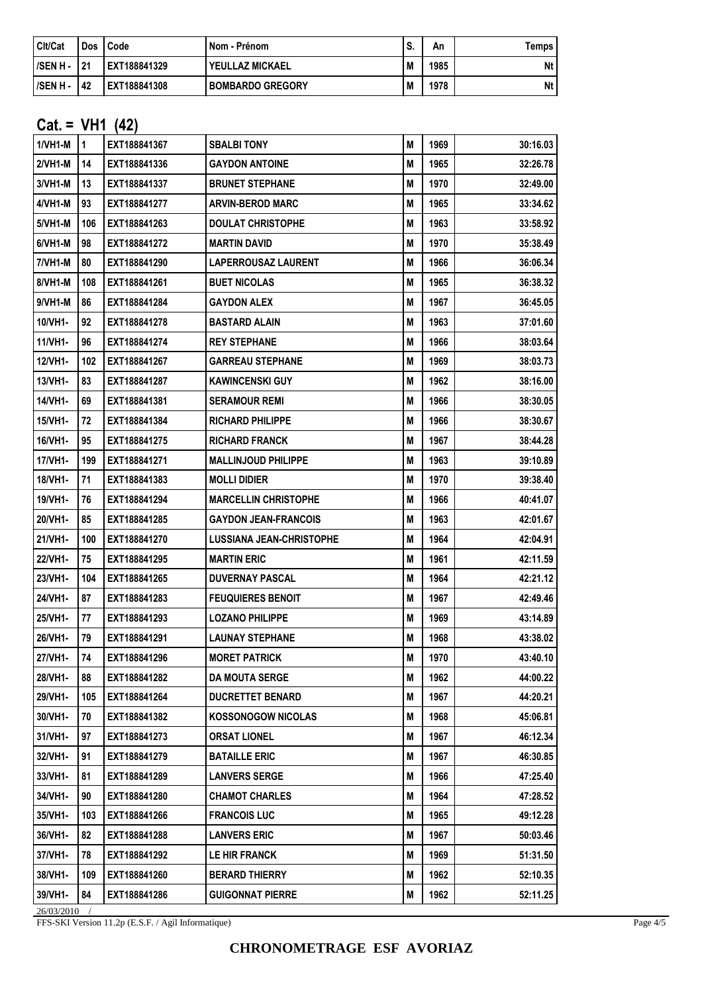| Cit/Cat   | <b>Dos</b> | Code         | Nom - Prénom            | C | Αn   | [emps |
|-----------|------------|--------------|-------------------------|---|------|-------|
| l/SEN H - | 21         | EXT188841329 | YEULLAZ MICKAEL         | M | 1985 | Nt    |
| I/SEN H - | 42         | EXT188841308 | <b>BOMBARDO GREGORY</b> | M | 1978 | Nt    |

#### **Cat. = VH1 (42)**

| $1/VH1-M$      | $\mathbf{1}$ | EXT188841367 | <b>SBALBI TONY</b>              | М | 1969 | 30:16.03 |  |
|----------------|--------------|--------------|---------------------------------|---|------|----------|--|
| 2/VH1-M        | 14           | EXT188841336 | <b>GAYDON ANTOINE</b>           | M | 1965 | 32:26.78 |  |
| 3/VH1-M        | 13           | EXT188841337 | <b>BRUNET STEPHANE</b>          | M | 1970 | 32:49.00 |  |
| 4/VH1-M        | 93           | EXT188841277 | <b>ARVIN-BEROD MARC</b>         | М | 1965 | 33:34.62 |  |
| 5/VH1-M        | 106          | EXT188841263 | <b>DOULAT CHRISTOPHE</b>        | M | 1963 | 33:58.92 |  |
| 6/VH1-M        | 98           | EXT188841272 | <b>MARTIN DAVID</b>             | M | 1970 | 35:38.49 |  |
| <b>7/VH1-M</b> | 80           | EXT188841290 | <b>LAPERROUSAZ LAURENT</b>      | М | 1966 | 36:06.34 |  |
| 8/VH1-M        | 108          | EXT188841261 | <b>BUET NICOLAS</b>             | М | 1965 | 36:38.32 |  |
| 9/VH1-M        | 86           | EXT188841284 | <b>GAYDON ALEX</b>              | M | 1967 | 36:45.05 |  |
| 10/VH1-        | 92           | EXT188841278 | <b>BASTARD ALAIN</b>            | M | 1963 | 37:01.60 |  |
| 11/VH1-        | 96           | EXT188841274 | <b>REY STEPHANE</b>             | М | 1966 | 38:03.64 |  |
| 12/VH1-        | 102          | EXT188841267 | <b>GARREAU STEPHANE</b>         | M | 1969 | 38:03.73 |  |
| 13/VH1-        | 83           | EXT188841287 | <b>KAWINCENSKI GUY</b>          | М | 1962 | 38:16.00 |  |
| 14/VH1-        | 69           | EXT188841381 | <b>SERAMOUR REMI</b>            | M | 1966 | 38:30.05 |  |
| 15/VH1-        | 72           | EXT188841384 | <b>RICHARD PHILIPPE</b>         | M | 1966 | 38:30.67 |  |
| 16/VH1-        | 95           | EXT188841275 | <b>RICHARD FRANCK</b>           | Μ | 1967 | 38:44.28 |  |
| 17/VH1-        | 199          | EXT188841271 | <b>MALLINJOUD PHILIPPE</b>      | M | 1963 | 39:10.89 |  |
| 18/VH1-        | 71           | EXT188841383 | <b>MOLLI DIDIER</b>             | М | 1970 | 39:38.40 |  |
| 19/VH1-        | 76           | EXT188841294 | <b>MARCELLIN CHRISTOPHE</b>     | M | 1966 | 40:41.07 |  |
| 20/VH1-        | 85           | EXT188841285 | <b>GAYDON JEAN-FRANCOIS</b>     | M | 1963 | 42:01.67 |  |
| 21/VH1-        | 100          | EXT188841270 | <b>LUSSIANA JEAN-CHRISTOPHE</b> | М | 1964 | 42:04.91 |  |
| 22/VH1-        | 75           | EXT188841295 | <b>MARTIN ERIC</b>              | M | 1961 | 42:11.59 |  |
| 23/VH1-        | 104          | EXT188841265 | <b>DUVERNAY PASCAL</b>          | М | 1964 | 42:21.12 |  |
| 24/VH1-        | 87           | EXT188841283 | <b>FEUQUIERES BENOIT</b>        | M | 1967 | 42:49.46 |  |
| 25/VH1-        | 77           | EXT188841293 | <b>LOZANO PHILIPPE</b>          | Μ | 1969 | 43:14.89 |  |
| 26/VH1-        | 79           | EXT188841291 | <b>LAUNAY STEPHANE</b>          | М | 1968 | 43:38.02 |  |
| 27/VH1-        | 74           | EXT188841296 | <b>MORET PATRICK</b>            | M | 1970 | 43:40.10 |  |
| 28/VH1-        | 88           | EXT188841282 | <b>DA MOUTA SERGE</b>           | М | 1962 | 44:00.22 |  |
| 29/VH1-        | 105          | EXT188841264 | <b>DUCRETTET BENARD</b>         | Μ | 1967 | 44:20.21 |  |
| 30/VH1-        | 70           | EXT188841382 | <b>KOSSONOGOW NICOLAS</b>       | M | 1968 | 45:06.81 |  |
| 31/VH1-        | 97           | EXT188841273 | <b>ORSAT LIONEL</b>             | M | 1967 | 46:12.34 |  |
| 32/VH1-        | 91           | EXT188841279 | <b>BATAILLE ERIC</b>            | M | 1967 | 46:30.85 |  |
| 33/VH1-        | 81           | EXT188841289 | <b>LANVERS SERGE</b>            | M | 1966 | 47:25.40 |  |
| 34/VH1-        | 90           | EXT188841280 | <b>CHAMOT CHARLES</b>           | Μ | 1964 | 47:28.52 |  |
| 35/VH1-        | 103          | EXT188841266 | <b>FRANCOIS LUC</b>             | Μ | 1965 | 49:12.28 |  |
| 36/VH1-        | 82           | EXT188841288 | <b>LANVERS ERIC</b>             | М | 1967 | 50:03.46 |  |
| 37/VH1-        | 78           | EXT188841292 | LE HIR FRANCK                   | M | 1969 | 51:31.50 |  |
| 38/VH1-        | 109          | EXT188841260 | <b>BERARD THIERRY</b>           | Μ | 1962 | 52:10.35 |  |
| 39/VH1-        | 84           | EXT188841286 | <b>GUIGONNAT PIERRE</b>         | M | 1962 | 52:11.25 |  |
| 26/03/2010     |              |              |                                 |   |      |          |  |

FFS-SKI Version 11.2p (E.S.F. / Agil Informatique)